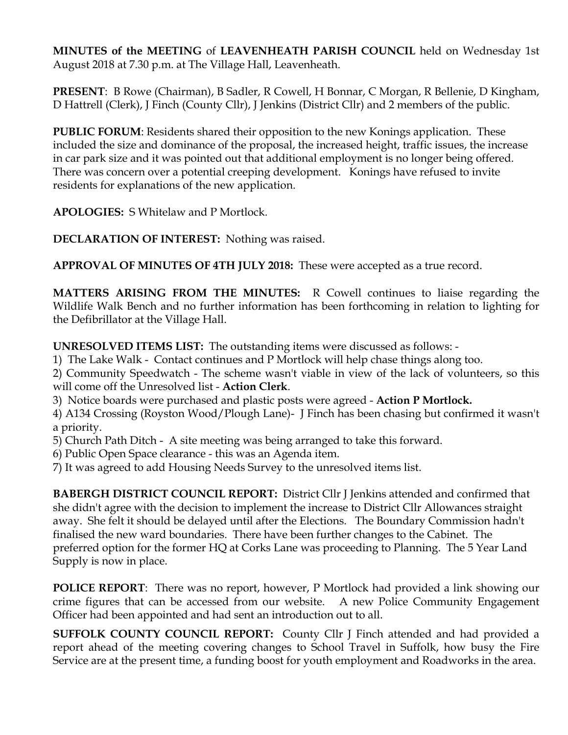**MINUTES of the MEETING** of **LEAVENHEATH PARISH COUNCIL** held on Wednesday 1st August 2018 at 7.30 p.m. at The Village Hall, Leavenheath.

**PRESENT**: B Rowe (Chairman), B Sadler, R Cowell, H Bonnar, C Morgan, R Bellenie, D Kingham, D Hattrell (Clerk), J Finch (County Cllr), J Jenkins (District Cllr) and 2 members of the public.

**PUBLIC FORUM**: Residents shared their opposition to the new Konings application. These included the size and dominance of the proposal, the increased height, traffic issues, the increase in car park size and it was pointed out that additional employment is no longer being offered. There was concern over a potential creeping development. Konings have refused to invite residents for explanations of the new application.

**APOLOGIES:** S Whitelaw and P Mortlock.

**DECLARATION OF INTEREST:** Nothing was raised.

**APPROVAL OF MINUTES OF 4TH JULY 2018:** These were accepted as a true record.

**MATTERS ARISING FROM THE MINUTES:** R Cowell continues to liaise regarding the Wildlife Walk Bench and no further information has been forthcoming in relation to lighting for the Defibrillator at the Village Hall.

**UNRESOLVED ITEMS LIST:** The outstanding items were discussed as follows: -

1) The Lake Walk - Contact continues and P Mortlock will help chase things along too.

2) Community Speedwatch - The scheme wasn't viable in view of the lack of volunteers, so this will come off the Unresolved list - **Action Clerk**.

3) Notice boards were purchased and plastic posts were agreed - **Action P Mortlock.** 

4) A134 Crossing (Royston Wood/Plough Lane)- J Finch has been chasing but confirmed it wasn't a priority.

5) Church Path Ditch - A site meeting was being arranged to take this forward.

6) Public Open Space clearance - this was an Agenda item.

7) It was agreed to add Housing Needs Survey to the unresolved items list.

**BABERGH DISTRICT COUNCIL REPORT:** District Cllr J Jenkins attended and confirmed that she didn't agree with the decision to implement the increase to District Cllr Allowances straight away. She felt it should be delayed until after the Elections. The Boundary Commission hadn't finalised the new ward boundaries. There have been further changes to the Cabinet. The preferred option for the former HQ at Corks Lane was proceeding to Planning. The 5 Year Land Supply is now in place.

**POLICE REPORT**: There was no report, however, P Mortlock had provided a link showing our crime figures that can be accessed from our website. A new Police Community Engagement Officer had been appointed and had sent an introduction out to all.

**SUFFOLK COUNTY COUNCIL REPORT:** County Cllr J Finch attended and had provided a report ahead of the meeting covering changes to School Travel in Suffolk, how busy the Fire Service are at the present time, a funding boost for youth employment and Roadworks in the area.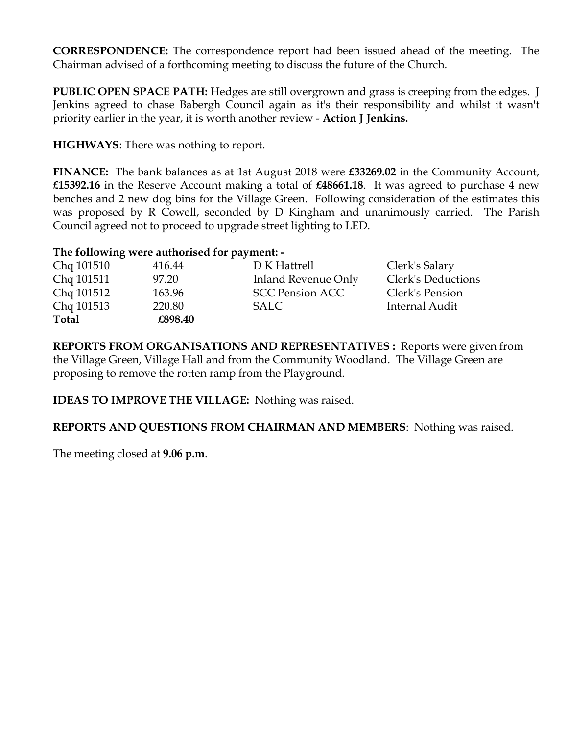**CORRESPONDENCE:** The correspondence report had been issued ahead of the meeting. The Chairman advised of a forthcoming meeting to discuss the future of the Church.

**PUBLIC OPEN SPACE PATH:** Hedges are still overgrown and grass is creeping from the edges. J Jenkins agreed to chase Babergh Council again as it's their responsibility and whilst it wasn't priority earlier in the year, it is worth another review - **Action J Jenkins.**

**HIGHWAYS**: There was nothing to report.

**FINANCE:** The bank balances as at 1st August 2018 were **£33269.02** in the Community Account, **£15392.16** in the Reserve Account making a total of **£48661.18**. It was agreed to purchase 4 new benches and 2 new dog bins for the Village Green. Following consideration of the estimates this was proposed by R Cowell, seconded by D Kingham and unanimously carried. The Parish Council agreed not to proceed to upgrade street lighting to LED.

## **The following were authorised for payment: -**

| Chq 101510   | 416.44  | D K Hattrell           | Clerk's Salary            |
|--------------|---------|------------------------|---------------------------|
| Chq 101511   | 97.20   | Inland Revenue Only    | <b>Clerk's Deductions</b> |
| Chq 101512   | 163.96  | <b>SCC Pension ACC</b> | Clerk's Pension           |
| Chq 101513   | 220.80  | SALC                   | Internal Audit            |
| <b>Total</b> | £898.40 |                        |                           |

**REPORTS FROM ORGANISATIONS AND REPRESENTATIVES :** Reports were given from the Village Green, Village Hall and from the Community Woodland. The Village Green are proposing to remove the rotten ramp from the Playground.

**IDEAS TO IMPROVE THE VILLAGE:** Nothing was raised.

**REPORTS AND QUESTIONS FROM CHAIRMAN AND MEMBERS**: Nothing was raised.

The meeting closed at **9.06 p.m**.